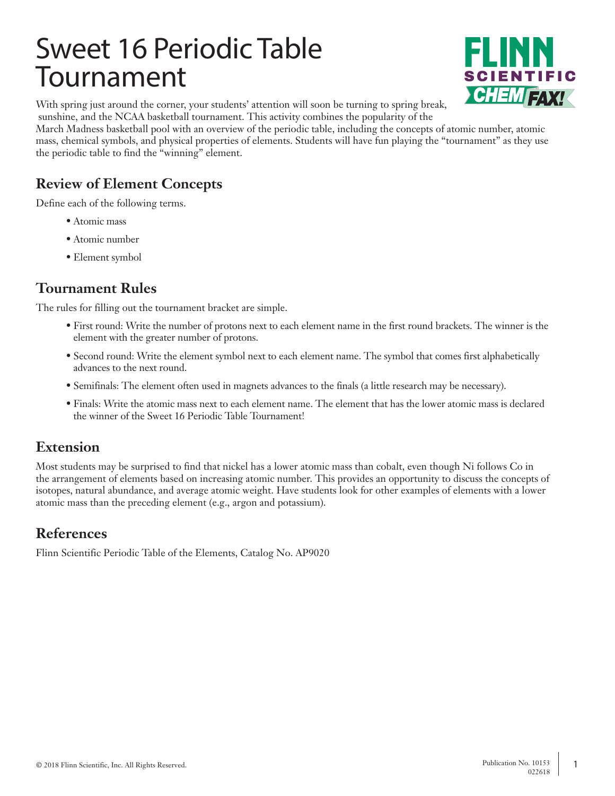# Sweet 16 Periodic Table Tournament



With spring just around the corner, your students' attention will soon be turning to spring break, sunshine, and the NCAA basketball tournament. This activity combines the popularity of the

March Madness basketball pool with an overview of the periodic table, including the concepts of atomic number, atomic mass, chemical symbols, and physical properties of elements. Students will have fun playing the "tournament" as they use the periodic table to find the "winning" element.

## **Review of Element Concepts**

Define each of the following terms.

- Atomic mass
- Atomic number
- Element symbol

### **Tournament Rules**

The rules for filling out the tournament bracket are simple.

- First round: Write the number of protons next to each element name in the first round brackets. The winner is the element with the greater number of protons.
- Second round: Write the element symbol next to each element name. The symbol that comes first alphabetically advances to the next round.
- Semifinals: The element often used in magnets advances to the finals (a little research may be necessary).
- Finals: Write the atomic mass next to each element name. The element that has the lower atomic mass is declared the winner of the Sweet 16 Periodic Table Tournament!

### **Extension**

Most students may be surprised to find that nickel has a lower atomic mass than cobalt, even though Ni follows Co in the arrangement of elements based on increasing atomic number. This provides an opportunity to discuss the concepts of isotopes, natural abundance, and average atomic weight. Have students look for other examples of elements with a lower atomic mass than the preceding element (e.g., argon and potassium).

### **References**

Flinn Scientific Periodic Table of the Elements, Catalog No. AP9020